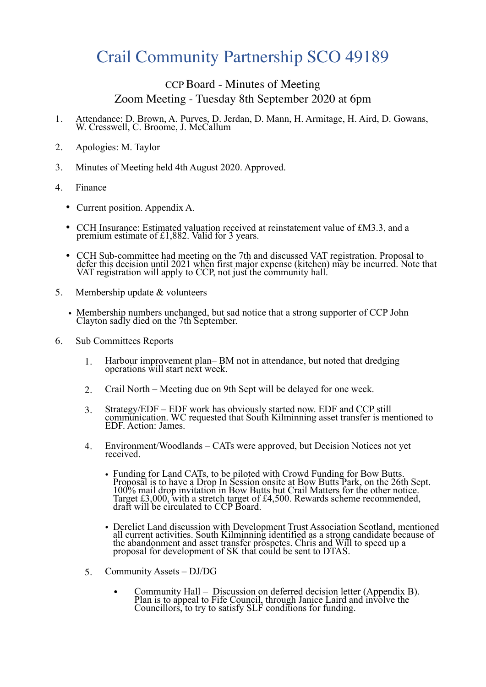## Crail Community Partnership SCO 49189

## CCP Board - Minutes of Meeting Zoom Meeting - Tuesday 8th September 2020 at 6pm

- 1. Attendance: D. Brown, A. Purves, D. Jerdan, D. Mann, H. Armitage, H. Aird, D. Gowans, W. Cresswell, C. Broome, J. McCallum
- 2. Apologies: M. Taylor
- 3. Minutes of Meeting held 4th August 2020. Approved.
- 4. Finance
	- Current position. Appendix A.
	- CCH Insurance: Estimated valuation received at reinstatement value of £M3.3, and a premium estimate of £1,882. Valid for 3 years.
	- CCH Sub-committee had meeting on the 7th and discussed VAT registration. Proposal to defer this decision until 2021 when first major expense (kitchen) may be incurred. Note that VAT registration will apply to CCP, not just the community hall.
- 5. Membership update & volunteers
	- Membership numbers unchanged, but sad notice that a strong supporter of CCP John Clayton sadly died on the 7th September.
- 6. Sub Committees Reports
	- 1. Harbour improvement plan– BM not in attendance, but noted that dredging operations will start next week.
	- 2. Crail North Meeting due on 9th Sept will be delayed for one week.
	- 3. Strategy/EDF EDF work has obviously started now. EDF and CCP still communication. WC requested that South Kilminning asset transfer is mentioned to EDF. Action: James.
	- 4. Environment/Woodlands CATs were approved, but Decision Notices not yet received.
		- Funding for Land CATs, to be piloted with Crowd Funding for Bow Butts. Proposal is to have a Drop In Session onsite at Bow Butts Park, on the 26th Sept. 100% mail drop invitation in Bow Butts but Crail Matters for the other notice. Target £3,000, with a stretch target of £4,500. Rewards scheme recommended, draft will be circulated to CCP Board.
		- Derelict Land discussion with Development Trust Association Scotland, mentioned all current activities. South Kilminning identified as a strong candidate because of the abandonment and asset transfer prospetcs. Chris and Will to speed up a proposal for development of SK that could be sent to DTAS.
	- 5. Community Assets DJ/DG
		- Community Hall Discussion on deferred decision letter (Appendix B). Plan is to appeal to Fife Council, through Janice Laird and involve the Councillors, to try to satisfy SLF conditions for funding.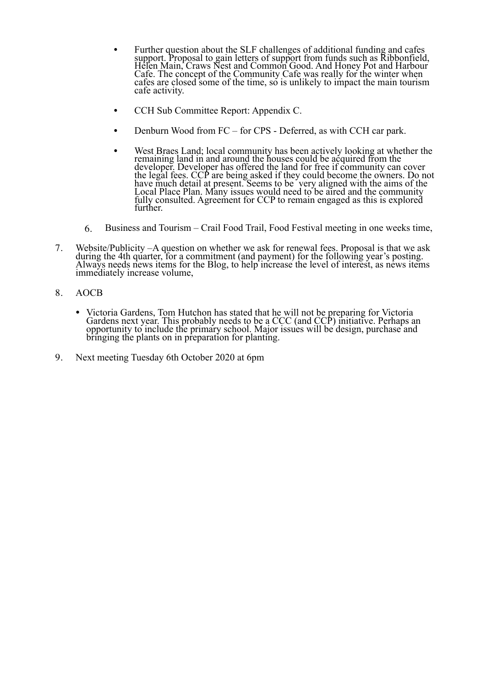- Further question about the SLF challenges of additional funding and cafes support. Proposal to gain letters of support from funds such as Ribbonfield, Helen Main, Craws Nest and Common Good. And Honey Pot and Harbour Cafe. The concept of the Community Cafe was really for the winter when cafes are closed some of the time, so is unlikely to impact the main tourism cafe activity.
- CCH Sub Committee Report: Appendix C.
- Denburn Wood from FC for CPS Deferred, as with CCH car park.
- West Braes Land; local community has been actively looking at whether the remaining land in and around the houses could be acquired from the developer. Developer has offered the land for free if community can cover the legal fees. CCP are being asked if they could become the owners. Do not have much detail at present. Seems to be very aligned with the aims of the Local Place Plan. Many issues would need to be aired and the community fully consulted. Agreement for CCP to remain engaged as this is explored further.
- 6. Business and Tourism Crail Food Trail, Food Festival meeting in one weeks time,
- 7. Website/Publicity –A question on whether we ask for renewal fees. Proposal is that we ask during the 4th quarter, for a commitment (and payment) for the following year's posting. Always needs news items for the Blog, to help increase the level of interest, as news items immediately increase volume,
- 8. AOCB
	- Victoria Gardens, Tom Hutchon has stated that he will not be preparing for Victoria Gardens next year. This probably needs to be a CCC (and CCP) initiative. Perhaps an opportunity to include the primary school. Major issues will be design, purchase and bringing the plants on in preparation for planting.
- 9. Next meeting Tuesday 6th October 2020 at 6pm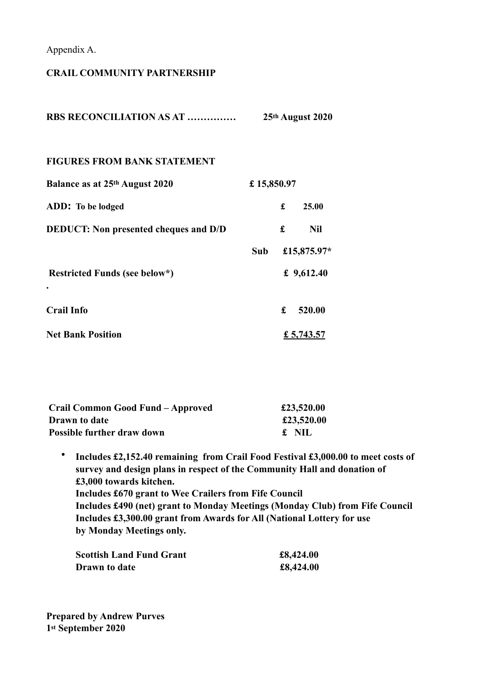Appendix A.

## **CRAIL COMMUNITY PARTNERSHIP**

| <b>RBS RECONCILIATION AS AT </b>             | 25th August 2020 |   |             |
|----------------------------------------------|------------------|---|-------------|
| <b>FIGURES FROM BANK STATEMENT</b>           |                  |   |             |
| Balance as at 25th August 2020               | £15,850.97       |   |             |
| ADD: To be lodged                            |                  | £ | 25.00       |
| <b>DEDUCT:</b> Non presented cheques and D/D |                  | £ | <b>Nil</b>  |
|                                              | Sub              |   | £15,875.97* |
| Restricted Funds (see below*)                | £ $9,612.40$     |   |             |
|                                              |                  |   |             |
| <b>Crail Info</b>                            |                  | £ | 520.00      |
| <b>Net Bank Position</b>                     |                  |   | £ 5,743.57  |

| Crail Common Good Fund – Approved | £23,520.00 |
|-----------------------------------|------------|
| Drawn to date                     | £23,520.00 |
| <b>Possible further draw down</b> | £ NIL      |

• **Includes £2,152.40 remaining from Crail Food Festival £3,000.00 to meet costs of survey and design plans in respect of the Community Hall and donation of £3,000 towards kitchen. Includes £670 grant to Wee Crailers from Fife Council Includes £490 (net) grant to Monday Meetings (Monday Club) from Fife Council Includes £3,300.00 grant from Awards for All (National Lottery for use by Monday Meetings only.** 

| <b>Scottish Land Fund Grant</b> | £8,424.00 |
|---------------------------------|-----------|
| Drawn to date                   | £8,424.00 |

**Prepared by Andrew Purves 1st September 2020**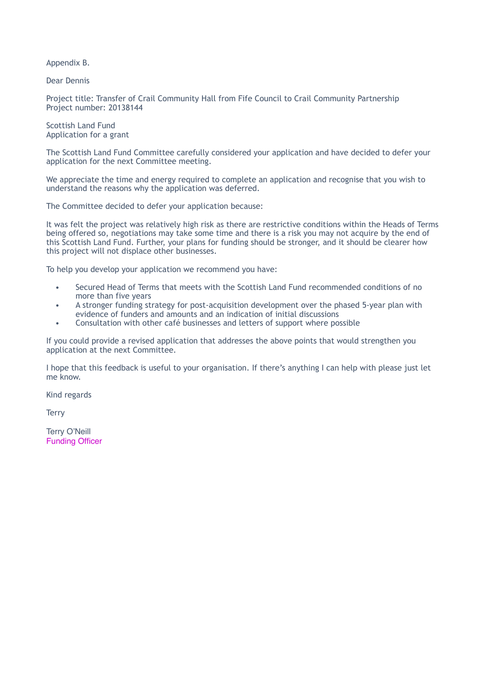Appendix B.

Dear Dennis

Project title: Transfer of Crail Community Hall from Fife Council to Crail Community Partnership Project number: 20138144

Scottish Land Fund Application for a grant

The Scottish Land Fund Committee carefully considered your application and have decided to defer your application for the next Committee meeting.

We appreciate the time and energy required to complete an application and recognise that you wish to understand the reasons why the application was deferred.

The Committee decided to defer your application because:

It was felt the project was relatively high risk as there are restrictive conditions within the Heads of Terms being offered so, negotiations may take some time and there is a risk you may not acquire by the end of this Scottish Land Fund. Further, your plans for funding should be stronger, and it should be clearer how this project will not displace other businesses.

To help you develop your application we recommend you have:

- Secured Head of Terms that meets with the Scottish Land Fund recommended conditions of no more than five years
- A stronger funding strategy for post-acquisition development over the phased 5-year plan with evidence of funders and amounts and an indication of initial discussions
- Consultation with other café businesses and letters of support where possible

If you could provide a revised application that addresses the above points that would strengthen you application at the next Committee.

I hope that this feedback is useful to your organisation. If there's anything I can help with please just let me know.

Kind regards

**Terry** 

Terry O'Neill Funding Officer